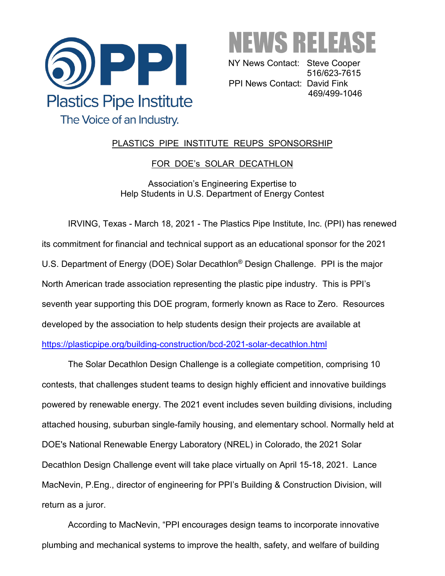



NY News Contact: Steve Cooper 516/623-7615 PPI News Contact: David Fink 469/499-1046

## PLASTICS PIPE INSTITUTE REUPS SPONSORSHIP

## FOR DOE's SOLAR DECATHLON

Association's Engineering Expertise to Help Students in U.S. Department of Energy Contest

IRVING, Texas - March 18, 2021 - The Plastics Pipe Institute, Inc. (PPI) has renewed its commitment for financial and technical support as an educational sponsor for the 2021 U.S. Department of Energy (DOE) Solar Decathlon® Design Challenge. PPI is the major North American trade association representing the plastic pipe industry. This is PPI's seventh year supporting this DOE program, formerly known as Race to Zero. Resources developed by the association to help students design their projects are available at <https://plasticpipe.org/building-construction/bcd-2021-solar-decathlon.html>

The Solar Decathlon Design Challenge is a collegiate competition, comprising 10 contests, that challenges student teams to design highly efficient and innovative buildings powered by renewable energy. The 2021 event includes seven building divisions, including attached housing, suburban single-family housing, and elementary school. Normally held at DOE's National Renewable Energy Laboratory (NREL) in Colorado, the 2021 Solar Decathlon Design Challenge event will take place virtually on April 15-18, 2021. Lance MacNevin, P.Eng., director of engineering for PPI's Building & Construction Division, will return as a juror.

According to MacNevin, "PPI encourages design teams to incorporate innovative plumbing and mechanical systems to improve the health, safety, and welfare of building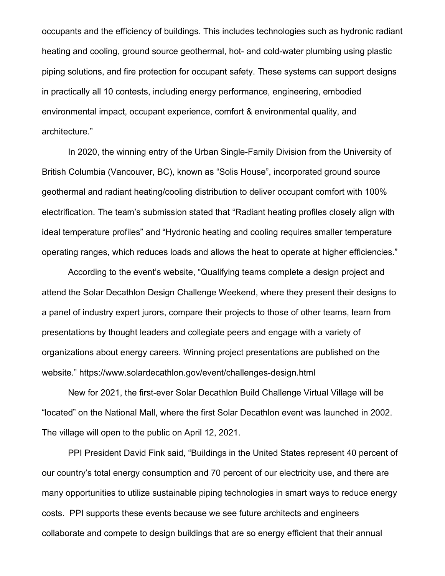occupants and the efficiency of buildings. This includes technologies such as hydronic radiant heating and cooling, ground source geothermal, hot- and cold-water plumbing using plastic piping solutions, and fire protection for occupant safety. These systems can support designs in practically all 10 contests, including energy performance, engineering, embodied environmental impact, occupant experience, comfort & environmental quality, and architecture."

In 2020, the winning entry of the Urban Single-Family Division from the University of British Columbia (Vancouver, BC), known as "Solis House", incorporated ground source geothermal and radiant heating/cooling distribution to deliver occupant comfort with 100% electrification. The team's submission stated that "Radiant heating profiles closely align with ideal temperature profiles" and "Hydronic heating and cooling requires smaller temperature operating ranges, which reduces loads and allows the heat to operate at higher efficiencies."

According to the event's website, "Qualifying teams complete a design project and attend the Solar Decathlon Design Challenge Weekend, where they present their designs to a panel of industry expert jurors, compare their projects to those of other teams, learn from presentations by thought leaders and collegiate peers and engage with a variety of organizations about energy careers. Winning project presentations are published on the website." <https://www.solardecathlon.gov/event/challenges-design.html>

New for 2021, the first-ever Solar Decathlon Build Challenge Virtual Village will be "located" on the National Mall, where the first Solar Decathlon event was launched in 2002. The village will open to the public on April 12, 2021.

PPI President David Fink said, "Buildings in the United States represent 40 percent of our country's total energy consumption and 70 percent of our electricity use, and there are many opportunities to utilize sustainable piping technologies in smart ways to reduce energy costs. PPI supports these events because we see future architects and engineers collaborate and compete to design buildings that are so energy efficient that their annual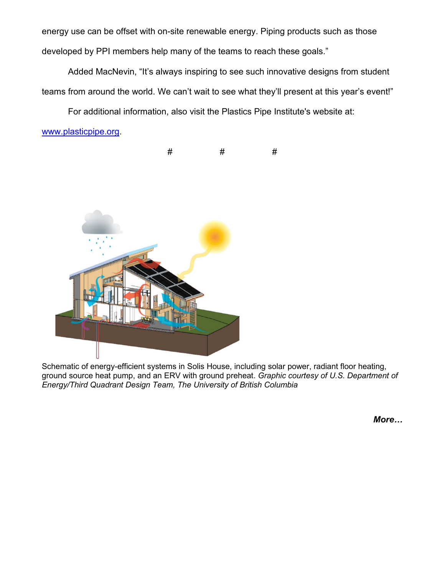energy use can be offset with on-site renewable energy. Piping products such as those developed by PPI members help many of the teams to reach these goals."

Added MacNevin, "It's always inspiring to see such innovative designs from student teams from around the world. We can't wait to see what they'll present at this year's event!"

For additional information, also visit the Plastics Pipe Institute's website at:

[www.plasticpipe.org.](http://www.plasticpipe.org/)



Schematic of energy-efficient systems in Solis House, including solar power, radiant floor heating, ground source heat pump, and an ERV with ground preheat. *Graphic courtesy of U.S. Department of Energy/Third Quadrant Design Team, The University of British Columbia*

*More…*